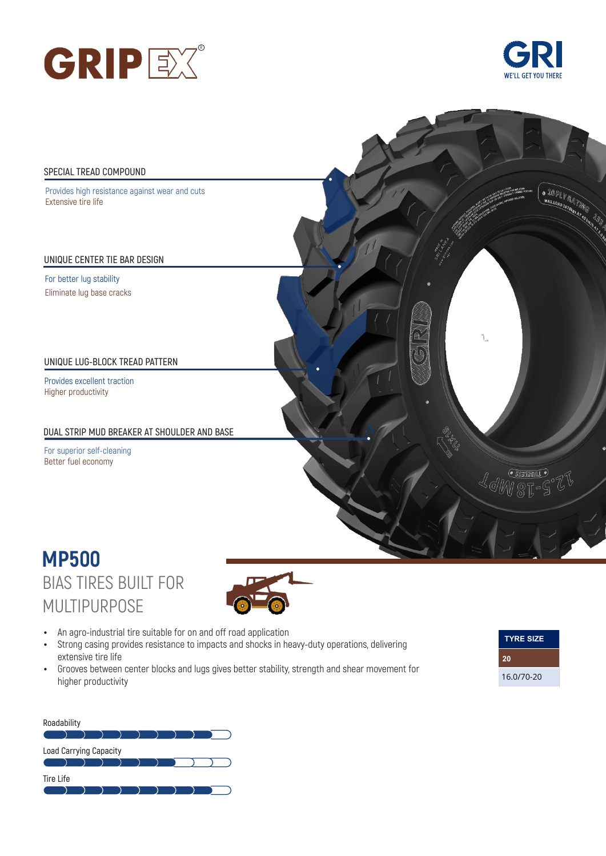





## BIAS TIRES BUILT FOR MULTIPURPOSE **MP500**



- An agro-industrial tire suitable for on and off road application
- Strong casing provides resistance to impacts and shocks in heavy-duty operations, delivering extensive tire life
- Grooves between center blocks and lugs gives better stability, strength and shear movement for higher productivity